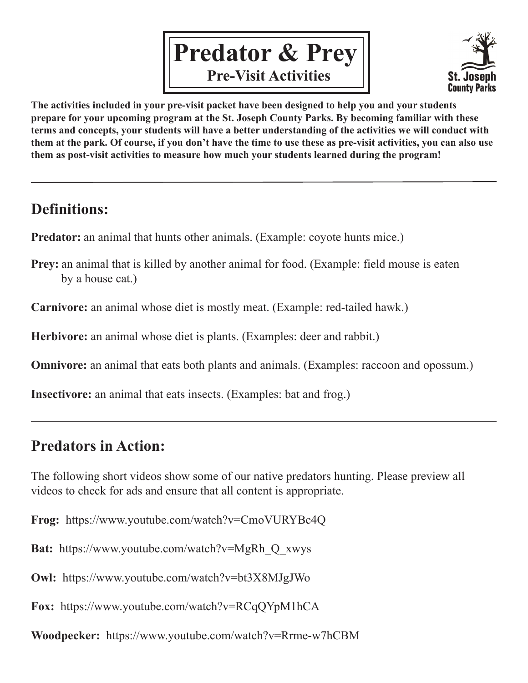



**The activities included in your pre-visit packet have been designed to help you and your students prepare for your upcoming program at the St. Joseph County Parks. By becoming familiar with these terms and concepts, your students will have a better understanding of the activities we will conduct with them at the park. Of course, if you don't have the time to use these as pre-visit activities, you can also use them as post-visit activities to measure how much your students learned during the program!**

### **Definitions:**

**Predator:** an animal that hunts other animals. (Example: coyote hunts mice.)

**Prey:** an animal that is killed by another animal for food. (Example: field mouse is eaten by a house cat.)

**Carnivore:** an animal whose diet is mostly meat. (Example: red-tailed hawk.)

**Herbivore:** an animal whose diet is plants. (Examples: deer and rabbit.)

**Omnivore:** an animal that eats both plants and animals. (Examples: raccoon and opossum.)

**Insectivore:** an animal that eats insects. (Examples: bat and frog.)

### **Predators in Action:**

The following short videos show some of our native predators hunting. Please preview all videos to check for ads and ensure that all content is appropriate.

**Frog:** https://www.youtube.com/watch?v=CmoVURYBc4Q

**Bat:** https://www.youtube.com/watch?v=MgRh\_Q\_xwys

**Owl:** https://www.youtube.com/watch?v=bt3X8MJgJWo

**Fox:** https://www.youtube.com/watch?v=RCqQYpM1hCA

**Woodpecker:** https://www.youtube.com/watch?v=Rrme-w7hCBM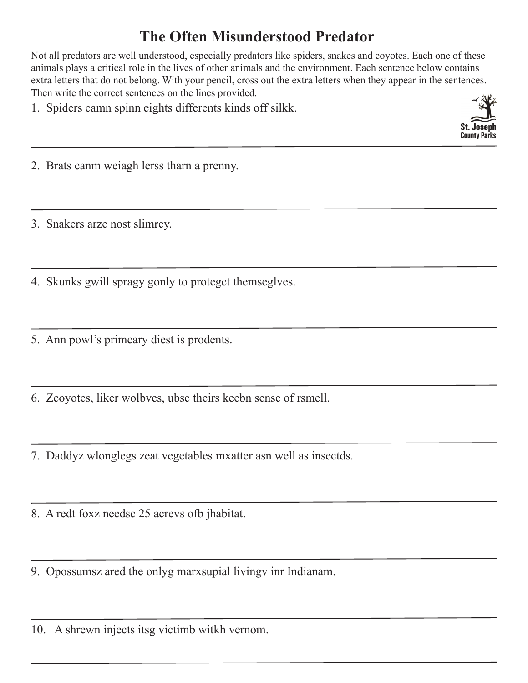### **The Often Misunderstood Predator**

Not all predators are well understood, especially predators like spiders, snakes and coyotes. Each one of these animals plays a critical role in the lives of other animals and the environment. Each sentence below contains extra letters that do not belong. With your pencil, cross out the extra letters when they appear in the sentences. Then write the correct sentences on the lines provided.

1. Spiders camn spinn eights differents kinds off silkk.



2. Brats canm weiagh lerss tharn a prenny.

3. Snakers arze nost slimrey.

4. Skunks gwill spragy gonly to proteget themseglves.

5. Ann powl's primeary diest is prodents.

6. Zcoyotes, liker wolbves, ubse theirs keebn sense of rsmell.

7. Daddyz wlonglegs zeat vegetables mxatter asn well as insectds.

8. A redt foxz needsc 25 acrevs ofb jhabitat.

9. Opossumsz ared the onlyg marxsupial living inr Indianam.

10. A shrewn injects itsg victimb witkh vernom.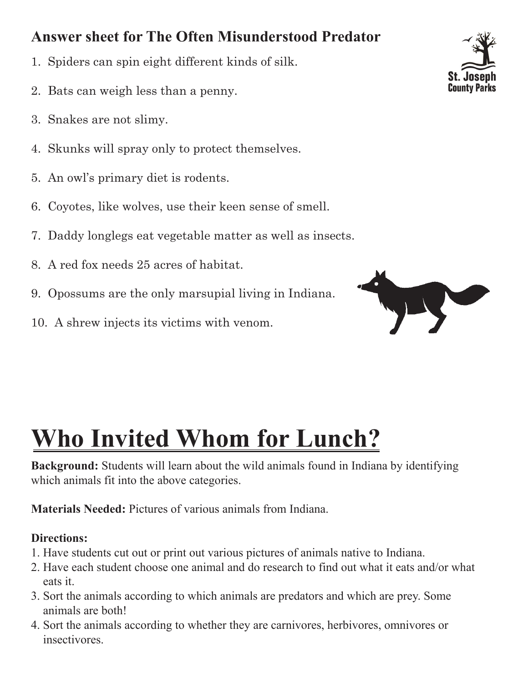### **Answer sheet for The Often Misunderstood Predator**

- 1. Spiders can spin eight different kinds of silk.
- 2. Bats can weigh less than a penny.
- 3. Snakes are not slimy.
- 4. Skunks will spray only to protect themselves.
- 5. An owl's primary diet is rodents.
- 6. Coyotes, like wolves, use their keen sense of smell.
- 7. Daddy longlegs eat vegetable matter as well as insects.
- 8. A red fox needs 25 acres of habitat.
- 9. Opossums are the only marsupial living in Indiana.
- 10. A shrew injects its victims with venom.





# **Who Invited Whom for Lunch?**

**Background:** Students will learn about the wild animals found in Indiana by identifying which animals fit into the above categories.

**Materials Needed:** Pictures of various animals from Indiana.

#### **Directions:**

- 1. Have students cut out or print out various pictures of animals native to Indiana.
- 2. Have each student choose one animal and do research to find out what it eats and/or what eats it.
- 3. Sort the animals according to which animals are predators and which are prey. Some animals are both!
- 4. Sort the animals according to whether they are carnivores, herbivores, omnivores or insectivores.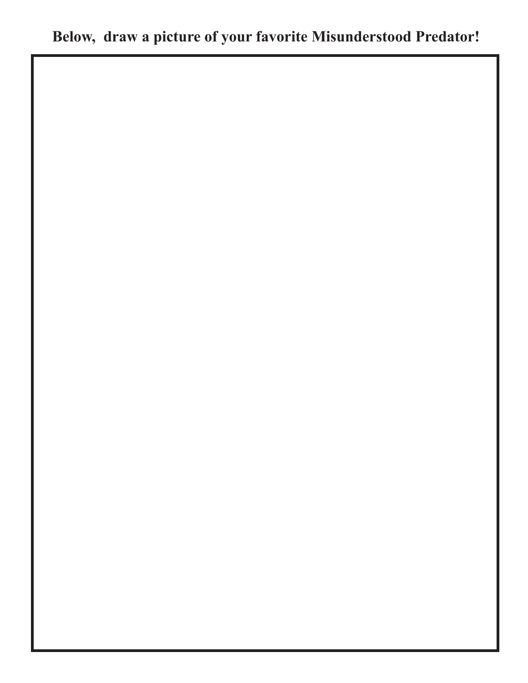## **Below, draw a picture of your favorite Misunderstood Predator!**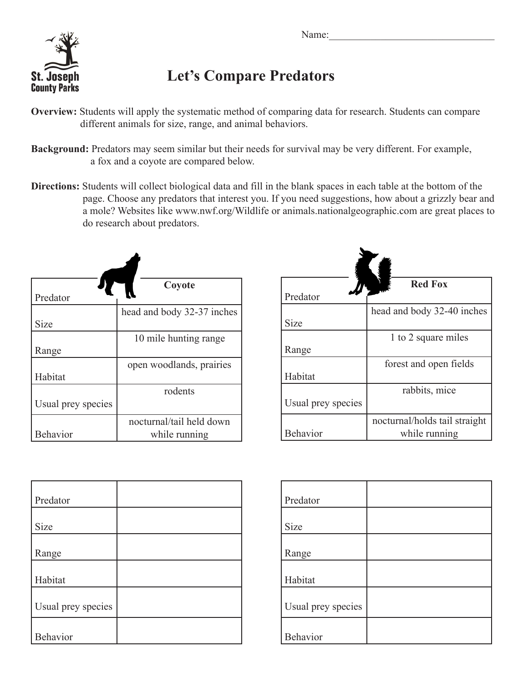

### **Let's Compare Predators**

- **Overview:** Students will apply the systematic method of comparing data for research. Students can compare different animals for size, range, and animal behaviors.
- **Background:** Predators may seem similar but their needs for survival may be very different. For example, a fox and a coyote are compared below.
- **Directions:** Students will collect biological data and fill in the blank spaces in each table at the bottom of the page. Choose any predators that interest you. If you need suggestions, how about a grizzly bear and a mole? Websites like www.nwf.org/Wildlife or animals.nationalgeographic.com are great places to do research about predators.

| Predator           | Coyote                     |
|--------------------|----------------------------|
|                    | head and body 32-37 inches |
| Size               |                            |
|                    | 10 mile hunting range      |
| Range              |                            |
|                    | open woodlands, prairies   |
| Habitat            |                            |
|                    | rodents                    |
| Usual prey species |                            |
|                    | nocturnal/tail held down   |
| <b>Behavior</b>    | while running              |

| Predator           | <b>Red Fox</b>                |
|--------------------|-------------------------------|
|                    | head and body 32-40 inches    |
| Size               |                               |
|                    | 1 to 2 square miles           |
| Range              |                               |
|                    | forest and open fields        |
| Habitat            |                               |
|                    | rabbits, mice                 |
| Usual prey species |                               |
|                    | nocturnal/holds tail straight |
| <b>Behavior</b>    | while running                 |

| Predator           |  |
|--------------------|--|
| Size               |  |
| Range              |  |
| Habitat            |  |
| Usual prey species |  |
| Behavior           |  |

| Predator           |  |
|--------------------|--|
|                    |  |
| Size               |  |
|                    |  |
| Range              |  |
|                    |  |
| Habitat            |  |
|                    |  |
| Usual prey species |  |
|                    |  |
| Behavior           |  |